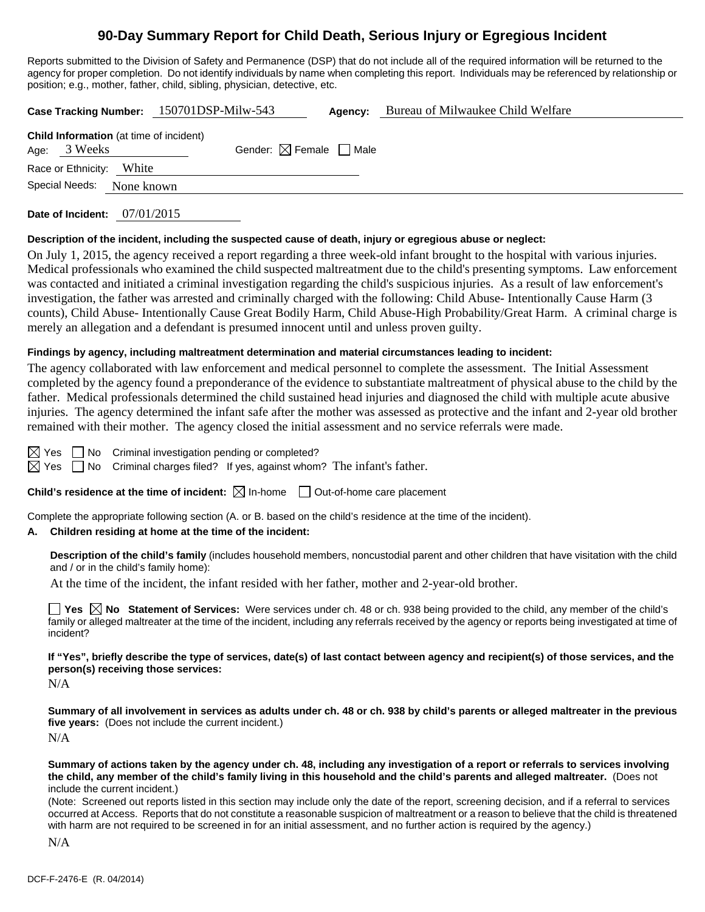# **90-Day Summary Report for Child Death, Serious Injury or Egregious Incident**

Reports submitted to the Division of Safety and Permanence (DSP) that do not include all of the required information will be returned to the agency for proper completion. Do not identify individuals by name when completing this report. Individuals may be referenced by relationship or position; e.g., mother, father, child, sibling, physician, detective, etc.

|                                                                | Case Tracking Number: 150701DSP-Milw-543 | Agency:                                | Bureau of Milwaukee Child Welfare |
|----------------------------------------------------------------|------------------------------------------|----------------------------------------|-----------------------------------|
| <b>Child Information</b> (at time of incident)<br>Age: 3 Weeks |                                          | Gender: $\boxtimes$ Female $\Box$ Male |                                   |
| Race or Ethnicity:                                             | White                                    |                                        |                                   |
| Special Needs:                                                 | None known                               |                                        |                                   |
| Date of Incident:                                              | 07/01/2015                               |                                        |                                   |

#### **Description of the incident, including the suspected cause of death, injury or egregious abuse or neglect:**

On July 1, 2015, the agency received a report regarding a three week-old infant brought to the hospital with various injuries. Medical professionals who examined the child suspected maltreatment due to the child's presenting symptoms. Law enforcement was contacted and initiated a criminal investigation regarding the child's suspicious injuries. As a result of law enforcement's investigation, the father was arrested and criminally charged with the following: Child Abuse- Intentionally Cause Harm (3 counts), Child Abuse- Intentionally Cause Great Bodily Harm, Child Abuse-High Probability/Great Harm. A criminal charge is merely an allegation and a defendant is presumed innocent until and unless proven guilty.

#### **Findings by agency, including maltreatment determination and material circumstances leading to incident:**

The agency collaborated with law enforcement and medical personnel to complete the assessment. The Initial Assessment completed by the agency found a preponderance of the evidence to substantiate maltreatment of physical abuse to the child by the father. Medical professionals determined the child sustained head injuries and diagnosed the child with multiple acute abusive injuries. The agency determined the infant safe after the mother was assessed as protective and the infant and 2-year old brother remained with their mother. The agency closed the initial assessment and no service referrals were made.

 $\boxtimes$  Yes  $\Box$  No Criminal investigation pending or completed?

 $\boxtimes$  Yes  $\Box$  No Criminal charges filed? If yes, against whom? The infant's father.

# **Child's residence at the time of incident:**  $\boxtimes$  In-home  $\Box$  Out-of-home care placement

Complete the appropriate following section (A. or B. based on the child's residence at the time of the incident).

# **A. Children residing at home at the time of the incident:**

**Description of the child's family** (includes household members, noncustodial parent and other children that have visitation with the child and / or in the child's family home):

At the time of the incident, the infant resided with her father, mother and 2-year-old brother.

■ Yes △ No Statement of Services: Were services under ch. 48 or ch. 938 being provided to the child, any member of the child's family or alleged maltreater at the time of the incident, including any referrals received by the agency or reports being investigated at time of incident?

**If "Yes", briefly describe the type of services, date(s) of last contact between agency and recipient(s) of those services, and the person(s) receiving those services:** 

N/A

**Summary of all involvement in services as adults under ch. 48 or ch. 938 by child's parents or alleged maltreater in the previous five years:** (Does not include the current incident.) N/A

**Summary of actions taken by the agency under ch. 48, including any investigation of a report or referrals to services involving the child, any member of the child's family living in this household and the child's parents and alleged maltreater.** (Does not include the current incident.)

(Note: Screened out reports listed in this section may include only the date of the report, screening decision, and if a referral to services occurred at Access. Reports that do not constitute a reasonable suspicion of maltreatment or a reason to believe that the child is threatened with harm are not required to be screened in for an initial assessment, and no further action is required by the agency.)

N/A